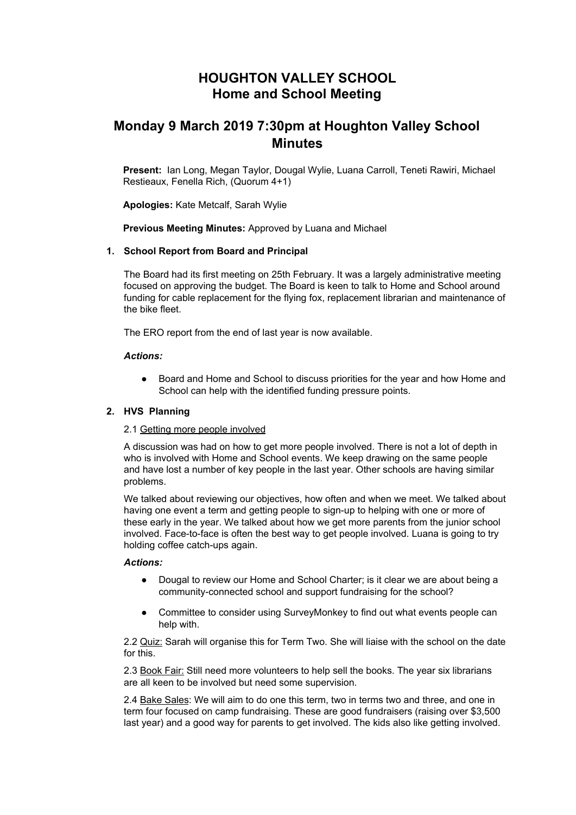# **HOUGHTON VALLEY SCHOOL Home and School Meeting**

# **Monday 9 March 2019 7:30pm at Houghton Valley School Minutes**

**Present:** Ian Long, Megan Taylor, Dougal Wylie, Luana Carroll, Teneti Rawiri, Michael Restieaux, Fenella Rich, (Quorum 4+1)

**Apologies:** Kate Metcalf, Sarah Wylie

**Previous Meeting Minutes:** Approved by Luana and Michael

## **1. School Report from Board and Principal**

The Board had its first meeting on 25th February. It was a largely administrative meeting focused on approving the budget. The Board is keen to talk to Home and School around funding for cable replacement for the flying fox, replacement librarian and maintenance of the bike fleet.

The ERO report from the end of last year is now available.

#### *Actions:*

● Board and Home and School to discuss priorities for the year and how Home and School can help with the identified funding pressure points.

### **2. HVS Planning**

#### 2.1 Getting more people involved

A discussion was had on how to get more people involved. There is not a lot of depth in who is involved with Home and School events. We keep drawing on the same people and have lost a number of key people in the last year. Other schools are having similar problems.

We talked about reviewing our objectives, how often and when we meet. We talked about having one event a term and getting people to sign-up to helping with one or more of these early in the year. We talked about how we get more parents from the junior school involved. Face-to-face is often the best way to get people involved. Luana is going to try holding coffee catch-ups again.

#### *Actions:*

- Dougal to review our Home and School Charter; is it clear we are about being a community-connected school and support fundraising for the school?
- Committee to consider using SurveyMonkey to find out what events people can help with.

2.2 Quiz: Sarah will organise this for Term Two. She will liaise with the school on the date for this.

2.3 Book Fair: Still need more volunteers to help sell the books. The year six librarians are all keen to be involved but need some supervision.

2.4 Bake Sales: We will aim to do one this term, two in terms two and three, and one in term four focused on camp fundraising. These are good fundraisers (raising over \$3,500 last year) and a good way for parents to get involved. The kids also like getting involved.